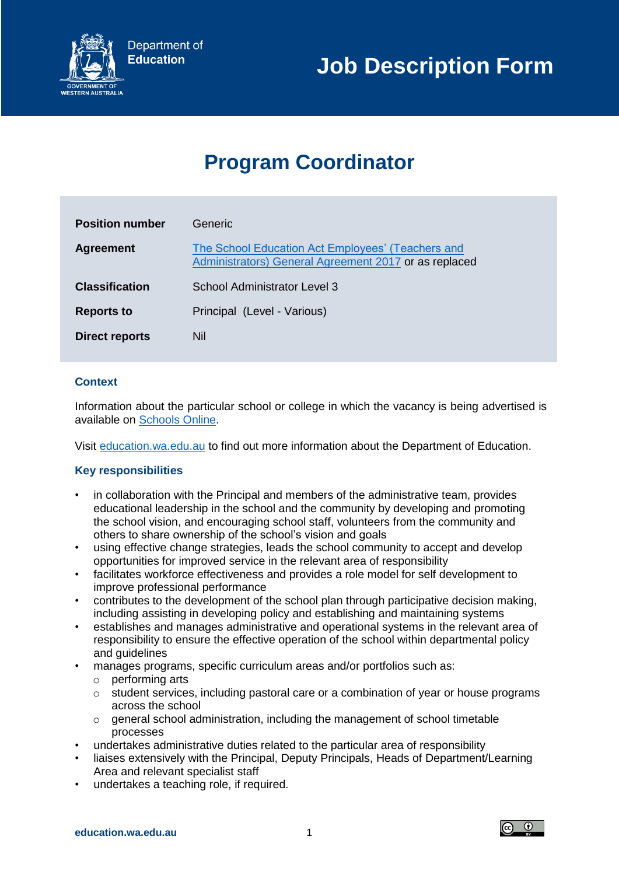

# **Program Coordinator**

| <b>Position number</b> | Generic.                                                                                                   |
|------------------------|------------------------------------------------------------------------------------------------------------|
| <b>Agreement</b>       | The School Education Act Employees' (Teachers and<br>Administrators) General Agreement 2017 or as replaced |
| <b>Classification</b>  | School Administrator Level 3                                                                               |
| <b>Reports to</b>      | Principal (Level - Various)                                                                                |
| Direct reports         | Nil                                                                                                        |

## **Context**

Information about the particular school or college in which the vacancy is being advertised is available on [Schools Online.](http://www.det.wa.edu.au/schoolsonline/home.do)

Visit [education.wa.edu.au](file:///C:/Users/E2023844/AppData/Local/Hewlett-Packard/HP%20TRIM/TEMP/HPTRIM.7112/education.wa.edu.au) to find out more information about the Department of Education.

### **Key responsibilities**

- in collaboration with the Principal and members of the administrative team, provides educational leadership in the school and the community by developing and promoting the school vision, and encouraging school staff, volunteers from the community and others to share ownership of the school's vision and goals
- using effective change strategies, leads the school community to accept and develop opportunities for improved service in the relevant area of responsibility
- facilitates workforce effectiveness and provides a role model for self development to improve professional performance
- contributes to the development of the school plan through participative decision making, including assisting in developing policy and establishing and maintaining systems
- establishes and manages administrative and operational systems in the relevant area of responsibility to ensure the effective operation of the school within departmental policy and guidelines
- manages programs, specific curriculum areas and/or portfolios such as:
	- o performing arts
	- o student services, including pastoral care or a combination of year or house programs across the school
	- o general school administration, including the management of school timetable processes
- undertakes administrative duties related to the particular area of responsibility
- liaises extensively with the Principal, Deputy Principals, Heads of Department/Learning Area and relevant specialist staff
- undertakes a teaching role, if required.